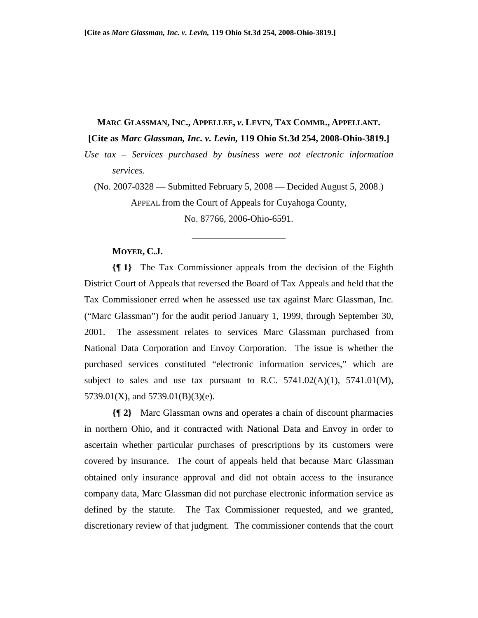#### **MARC GLASSMAN, INC., APPELLEE,** *v***. LEVIN, TAX COMMR., APPELLANT.**

**[Cite as** *Marc Glassman, Inc. v. Levin,* **119 Ohio St.3d 254, 2008-Ohio-3819.]** 

*Use tax – Services purchased by business were not electronic information services.* 

(No. 2007-0328 — Submitted February 5, 2008 — Decided August 5, 2008.) APPEAL from the Court of Appeals for Cuyahoga County, No. 87766, 2006-Ohio-6591.

\_\_\_\_\_\_\_\_\_\_\_\_\_\_\_\_\_\_\_\_

#### **MOYER, C.J.**

**{¶ 1}** The Tax Commissioner appeals from the decision of the Eighth District Court of Appeals that reversed the Board of Tax Appeals and held that the Tax Commissioner erred when he assessed use tax against Marc Glassman, Inc. ("Marc Glassman") for the audit period January 1, 1999, through September 30, 2001. The assessment relates to services Marc Glassman purchased from National Data Corporation and Envoy Corporation. The issue is whether the purchased services constituted "electronic information services," which are subject to sales and use tax pursuant to R.C.  $5741.02(A)(1)$ ,  $5741.01(M)$ , 5739.01(X), and 5739.01(B)(3)(e).

**{¶ 2}** Marc Glassman owns and operates a chain of discount pharmacies in northern Ohio, and it contracted with National Data and Envoy in order to ascertain whether particular purchases of prescriptions by its customers were covered by insurance. The court of appeals held that because Marc Glassman obtained only insurance approval and did not obtain access to the insurance company data, Marc Glassman did not purchase electronic information service as defined by the statute. The Tax Commissioner requested, and we granted, discretionary review of that judgment. The commissioner contends that the court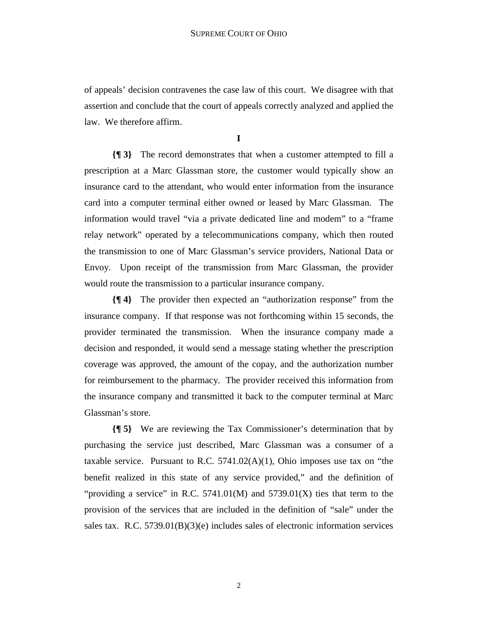of appeals' decision contravenes the case law of this court. We disagree with that assertion and conclude that the court of appeals correctly analyzed and applied the law. We therefore affirm.

**I** 

**{¶ 3}** The record demonstrates that when a customer attempted to fill a prescription at a Marc Glassman store, the customer would typically show an insurance card to the attendant, who would enter information from the insurance card into a computer terminal either owned or leased by Marc Glassman. The information would travel "via a private dedicated line and modem" to a "frame relay network" operated by a telecommunications company, which then routed the transmission to one of Marc Glassman's service providers, National Data or Envoy. Upon receipt of the transmission from Marc Glassman, the provider would route the transmission to a particular insurance company.

**{¶ 4}** The provider then expected an "authorization response" from the insurance company. If that response was not forthcoming within 15 seconds, the provider terminated the transmission. When the insurance company made a decision and responded, it would send a message stating whether the prescription coverage was approved, the amount of the copay, and the authorization number for reimbursement to the pharmacy. The provider received this information from the insurance company and transmitted it back to the computer terminal at Marc Glassman's store.

**{¶ 5}** We are reviewing the Tax Commissioner's determination that by purchasing the service just described, Marc Glassman was a consumer of a taxable service. Pursuant to R.C.  $5741.02(A)(1)$ , Ohio imposes use tax on "the benefit realized in this state of any service provided," and the definition of "providing a service" in R.C.  $5741.01(M)$  and  $5739.01(X)$  ties that term to the provision of the services that are included in the definition of "sale" under the sales tax. R.C.  $5739.01(B)(3)(e)$  includes sales of electronic information services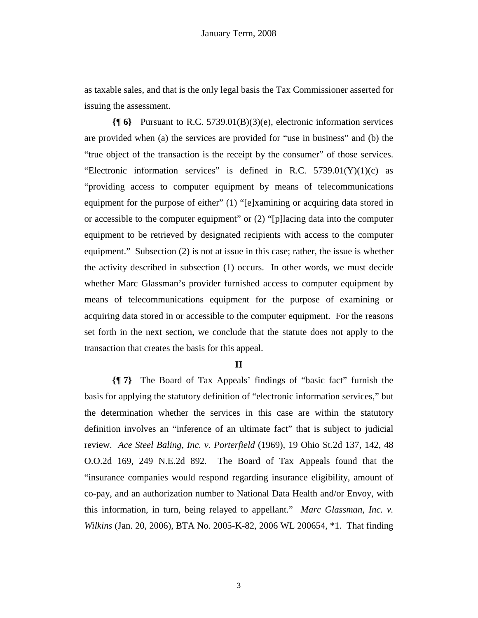as taxable sales, and that is the only legal basis the Tax Commissioner asserted for issuing the assessment.

**{¶ 6}** Pursuant to R.C. 5739.01(B)(3)(e), electronic information services are provided when (a) the services are provided for "use in business" and (b) the "true object of the transaction is the receipt by the consumer" of those services. "Electronic information services" is defined in R.C.  $5739.01(Y)(1)(c)$  as "providing access to computer equipment by means of telecommunications equipment for the purpose of either" (1) "[e]xamining or acquiring data stored in or accessible to the computer equipment" or (2) "[p]lacing data into the computer equipment to be retrieved by designated recipients with access to the computer equipment." Subsection (2) is not at issue in this case; rather, the issue is whether the activity described in subsection (1) occurs. In other words, we must decide whether Marc Glassman's provider furnished access to computer equipment by means of telecommunications equipment for the purpose of examining or acquiring data stored in or accessible to the computer equipment. For the reasons set forth in the next section, we conclude that the statute does not apply to the transaction that creates the basis for this appeal.

# **II**

**{¶ 7}** The Board of Tax Appeals' findings of "basic fact" furnish the basis for applying the statutory definition of "electronic information services," but the determination whether the services in this case are within the statutory definition involves an "inference of an ultimate fact" that is subject to judicial review. *Ace Steel Baling, Inc. v. Porterfield* (1969), 19 Ohio St.2d 137, 142, 48 O.O.2d 169, 249 N.E.2d 892. The Board of Tax Appeals found that the "insurance companies would respond regarding insurance eligibility, amount of co-pay, and an authorization number to National Data Health and/or Envoy, with this information, in turn, being relayed to appellant." *Marc Glassman, Inc. v. Wilkins* (Jan. 20, 2006), BTA No. 2005-K-82, 2006 WL 200654, \*1. That finding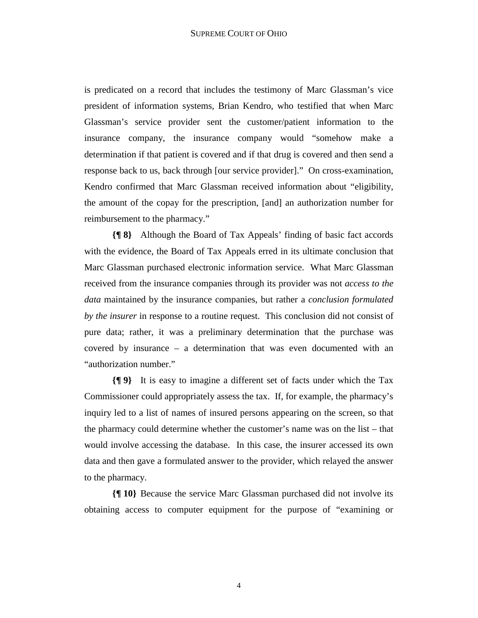is predicated on a record that includes the testimony of Marc Glassman's vice president of information systems, Brian Kendro, who testified that when Marc Glassman's service provider sent the customer/patient information to the insurance company, the insurance company would "somehow make a determination if that patient is covered and if that drug is covered and then send a response back to us, back through [our service provider]." On cross-examination, Kendro confirmed that Marc Glassman received information about "eligibility, the amount of the copay for the prescription, [and] an authorization number for reimbursement to the pharmacy."

**{¶ 8}** Although the Board of Tax Appeals' finding of basic fact accords with the evidence, the Board of Tax Appeals erred in its ultimate conclusion that Marc Glassman purchased electronic information service. What Marc Glassman received from the insurance companies through its provider was not *access to the data* maintained by the insurance companies, but rather a *conclusion formulated by the insurer* in response to a routine request. This conclusion did not consist of pure data; rather, it was a preliminary determination that the purchase was covered by insurance – a determination that was even documented with an "authorization number."

**{¶ 9}** It is easy to imagine a different set of facts under which the Tax Commissioner could appropriately assess the tax. If, for example, the pharmacy's inquiry led to a list of names of insured persons appearing on the screen, so that the pharmacy could determine whether the customer's name was on the list – that would involve accessing the database. In this case, the insurer accessed its own data and then gave a formulated answer to the provider, which relayed the answer to the pharmacy.

**{¶ 10}** Because the service Marc Glassman purchased did not involve its obtaining access to computer equipment for the purpose of "examining or

4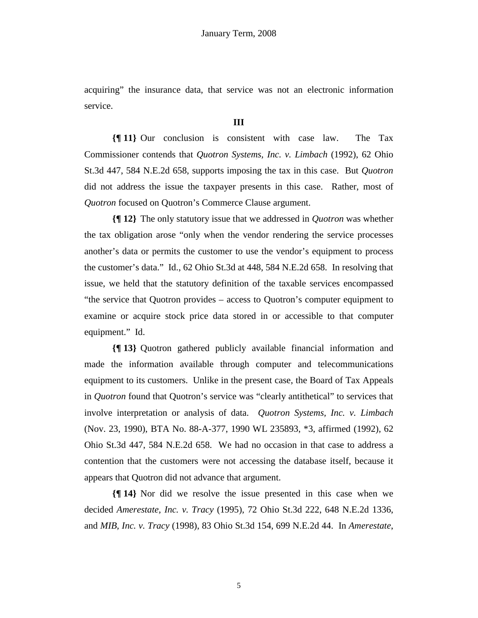acquiring" the insurance data, that service was not an electronic information service.

### **III**

**{¶ 11}** Our conclusion is consistent with case law. The Tax Commissioner contends that *Quotron Systems, Inc. v. Limbach* (1992), 62 Ohio St.3d 447, 584 N.E.2d 658, supports imposing the tax in this case. But *Quotron* did not address the issue the taxpayer presents in this case. Rather, most of *Quotron* focused on Quotron's Commerce Clause argument.

**{¶ 12}** The only statutory issue that we addressed in *Quotron* was whether the tax obligation arose "only when the vendor rendering the service processes another's data or permits the customer to use the vendor's equipment to process the customer's data." Id., 62 Ohio St.3d at 448, 584 N.E.2d 658. In resolving that issue, we held that the statutory definition of the taxable services encompassed "the service that Quotron provides – access to Quotron's computer equipment to examine or acquire stock price data stored in or accessible to that computer equipment." Id.

**{¶ 13}** Quotron gathered publicly available financial information and made the information available through computer and telecommunications equipment to its customers. Unlike in the present case, the Board of Tax Appeals in *Quotron* found that Quotron's service was "clearly antithetical" to services that involve interpretation or analysis of data. *Quotron Systems, Inc. v. Limbach* (Nov. 23, 1990), BTA No. 88-A-377, 1990 WL 235893, \*3, affirmed (1992), 62 Ohio St.3d 447, 584 N.E.2d 658. We had no occasion in that case to address a contention that the customers were not accessing the database itself, because it appears that Quotron did not advance that argument.

**{¶ 14}** Nor did we resolve the issue presented in this case when we decided *Amerestate, Inc. v. Tracy* (1995), 72 Ohio St.3d 222, 648 N.E.2d 1336, and *MIB, Inc. v. Tracy* (1998), 83 Ohio St.3d 154, 699 N.E.2d 44. In *Amerestate*,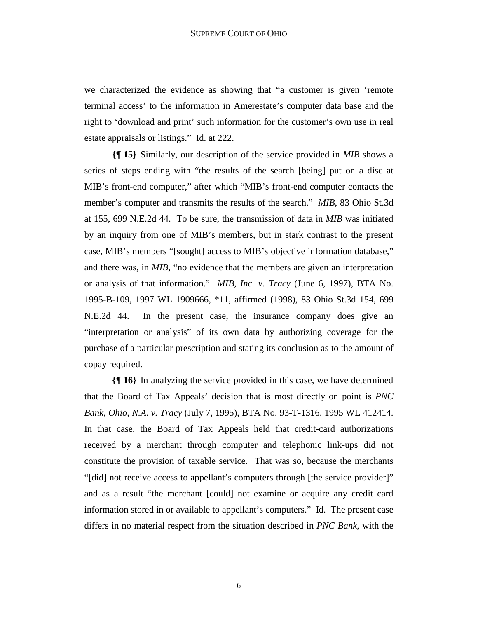we characterized the evidence as showing that "a customer is given 'remote terminal access' to the information in Amerestate's computer data base and the right to 'download and print' such information for the customer's own use in real estate appraisals or listings." Id. at 222.

**{¶ 15}** Similarly, our description of the service provided in *MIB* shows a series of steps ending with "the results of the search [being] put on a disc at MIB's front-end computer," after which "MIB's front-end computer contacts the member's computer and transmits the results of the search." *MIB*, 83 Ohio St.3d at 155, 699 N.E.2d 44. To be sure, the transmission of data in *MIB* was initiated by an inquiry from one of MIB's members, but in stark contrast to the present case, MIB's members "[sought] access to MIB's objective information database," and there was, in *MIB*, "no evidence that the members are given an interpretation or analysis of that information." *MIB, Inc. v. Tracy* (June 6, 1997), BTA No. 1995-B-109, 1997 WL 1909666, \*11, affirmed (1998), 83 Ohio St.3d 154, 699 N.E.2d 44. In the present case, the insurance company does give an "interpretation or analysis" of its own data by authorizing coverage for the purchase of a particular prescription and stating its conclusion as to the amount of copay required.

**{¶ 16}** In analyzing the service provided in this case, we have determined that the Board of Tax Appeals' decision that is most directly on point is *PNC Bank, Ohio, N.A. v. Tracy* (July 7, 1995), BTA No. 93-T-1316, 1995 WL 412414. In that case, the Board of Tax Appeals held that credit-card authorizations received by a merchant through computer and telephonic link-ups did not constitute the provision of taxable service. That was so, because the merchants "[did] not receive access to appellant's computers through [the service provider]" and as a result "the merchant [could] not examine or acquire any credit card information stored in or available to appellant's computers." Id. The present case differs in no material respect from the situation described in *PNC Bank*, with the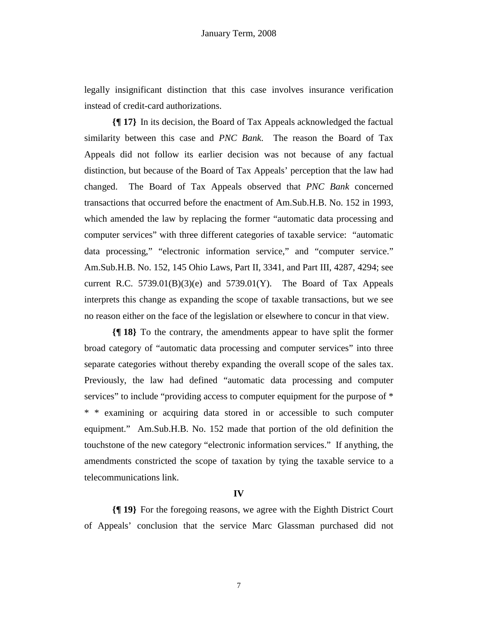legally insignificant distinction that this case involves insurance verification instead of credit-card authorizations.

**{¶ 17}** In its decision, the Board of Tax Appeals acknowledged the factual similarity between this case and *PNC Bank*. The reason the Board of Tax Appeals did not follow its earlier decision was not because of any factual distinction, but because of the Board of Tax Appeals' perception that the law had changed. The Board of Tax Appeals observed that *PNC Bank* concerned transactions that occurred before the enactment of Am.Sub.H.B. No. 152 in 1993, which amended the law by replacing the former "automatic data processing and computer services" with three different categories of taxable service: "automatic data processing," "electronic information service," and "computer service." Am.Sub.H.B. No. 152, 145 Ohio Laws, Part II, 3341, and Part III, 4287, 4294; see current R.C.  $5739.01(B)(3)(e)$  and  $5739.01(Y)$ . The Board of Tax Appeals interprets this change as expanding the scope of taxable transactions, but we see no reason either on the face of the legislation or elsewhere to concur in that view.

**{¶ 18}** To the contrary, the amendments appear to have split the former broad category of "automatic data processing and computer services" into three separate categories without thereby expanding the overall scope of the sales tax. Previously, the law had defined "automatic data processing and computer services" to include "providing access to computer equipment for the purpose of  $*$ \* \* examining or acquiring data stored in or accessible to such computer equipment." Am.Sub.H.B. No. 152 made that portion of the old definition the touchstone of the new category "electronic information services." If anything, the amendments constricted the scope of taxation by tying the taxable service to a telecommunications link.

# **IV**

**{¶ 19}** For the foregoing reasons, we agree with the Eighth District Court of Appeals' conclusion that the service Marc Glassman purchased did not